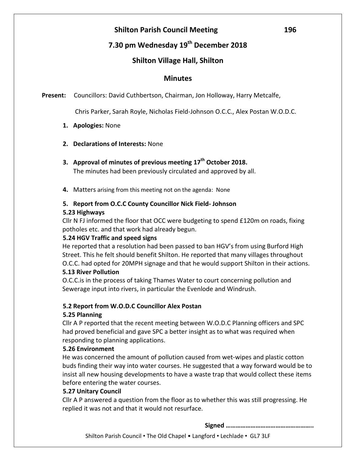# **Shilton Parish Council Meeting 196**

# **7.30 pm Wednesday 19 th December 2018**

## **Shilton Village Hall, Shilton**

#### **Minutes**

**Present:** Councillors: David Cuthbertson, Chairman, Jon Holloway, Harry Metcalfe,

Chris Parker, Sarah Royle, Nicholas Field-Johnson O.C.C., Alex Postan W.O.D.C.

- **1. Apologies:** None
- **2. Declarations of Interests:** None
- **3. Approval of minutes of previous meeting 17th October 2018.** The minutes had been previously circulated and approved by all.
- **4.** Matters arising from this meeting not on the agenda: None

# **5. Report from O.C.C County Councillor Nick Field- Johnson**

#### **5.23 Highways**

Cllr N FJ informed the floor that OCC were budgeting to spend £120m on roads, fixing potholes etc. and that work had already begun.

#### **5.24 HGV Traffic and speed signs**

He reported that a resolution had been passed to ban HGV's from using Burford High Street. This he felt should benefit Shilton. He reported that many villages throughout O.C.C. had opted for 20MPH signage and that he would support Shilton in their actions. **5.13 River Pollution**

O.C.C.is in the process of taking Thames Water to court concerning pollution and Sewerage input into rivers, in particular the Evenlode and Windrush.

#### **5.2 Report from W.O.D.C Councillor Alex Postan**

#### **5.25 Planning**

Cllr A P reported that the recent meeting between W.O.D.C Planning officers and SPC had proved beneficial and gave SPC a better insight as to what was required when responding to planning applications.

#### **5.26 Environment**

He was concerned the amount of pollution caused from wet-wipes and plastic cotton buds finding their way into water courses. He suggested that a way forward would be to insist all new housing developments to have a waste trap that would collect these items before entering the water courses.

#### **5.27 Unitary Council**

Cllr A P answered a question from the floor as to whether this was still progressing. He replied it was not and that it would not resurface.

**Signed ……………………………………………..**

Shilton Parish Council • The Old Chapel • Langford • Lechlade • GL7 3LF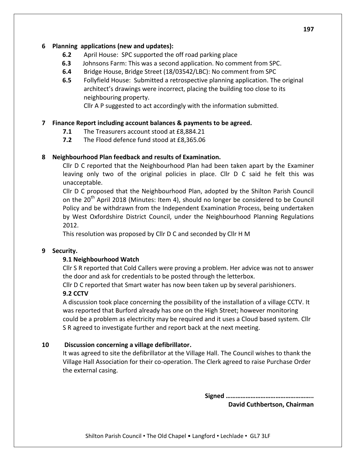#### **6 Planning applications (new and updates):**

- **6.2** April House: SPC supported the off road parking place
- **6.3** Johnsons Farm: This was a second application. No comment from SPC.
- **6.4** Bridge House, Bridge Street (18/03542/LBC): No comment from SPC
- **6.5** Follyfield House: Submitted a retrospective planning application. The original architect's drawings were incorrect, placing the building too close to its neighbouring property.

Cllr A P suggested to act accordingly with the information submitted.

#### **7 Finance Report including account balances & payments to be agreed.**

- **7.1** The Treasurers account stood at £8,884.21
- **7.2** The Flood defence fund stood at £8,365.06

#### **8 Neighbourhood Plan feedback and results of Examination.**

Cllr D C reported that the Neighbourhood Plan had been taken apart by the Examiner leaving only two of the original policies in place. Cllr D C said he felt this was unacceptable.

Cllr D C proposed that the Neighbourhood Plan, adopted by the Shilton Parish Council on the  $20^{th}$  April 2018 (Minutes: Item 4), should no longer be considered to be Council Policy and be withdrawn from the Independent Examination Process, being undertaken by West Oxfordshire District Council, under the Neighbourhood Planning Regulations 2012.

This resolution was proposed by Cllr D C and seconded by Cllr H M

#### **9 Security.**

### **9.1 Neighbourhood Watch**

Cllr S R reported that Cold Callers were proving a problem. Her advice was not to answer the door and ask for credentials to be posted through the letterbox.

Cllr D C reported that Smart water has now been taken up by several parishioners.

#### **9.2 CCTV**

A discussion took place concerning the possibility of the installation of a village CCTV. It was reported that Burford already has one on the High Street; however monitoring could be a problem as electricity may be required and it uses a Cloud based system. Cllr S R agreed to investigate further and report back at the next meeting.

#### **10 Discussion concerning a village defibrillator.**

It was agreed to site the defibrillator at the Village Hall. The Council wishes to thank the Village Hall Association for their co-operation. The Clerk agreed to raise Purchase Order the external casing.

**Signed ……………………………………………..**

**David Cuthbertson, Chairman**